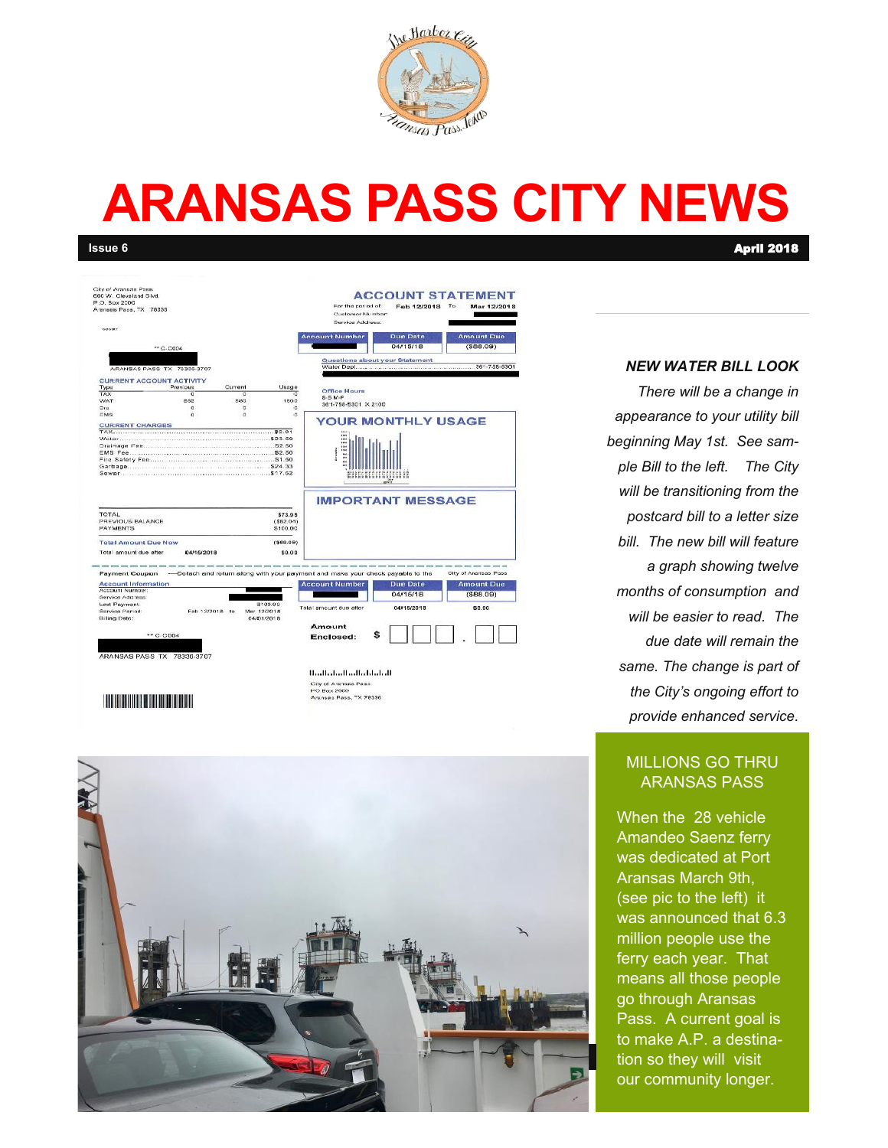

# **ARANSAS PASS CITY NEWS**

**Issue 6** April 2018

| <b>City of Aransas Pass</b><br>600 W. Cleveland Blvd.<br>P.O. Box 2000<br>Aranaas Pass, TX 76335 |                 |         |                           | <b>ACCOUNT STATEMENT</b><br>For the period of:<br>Feb 12/2018<br>To<br>Mar 12/2018<br>Customer Number:<br>Service Address: |                                                                                 |                      |
|--------------------------------------------------------------------------------------------------|-----------------|---------|---------------------------|----------------------------------------------------------------------------------------------------------------------------|---------------------------------------------------------------------------------|----------------------|
| 66607                                                                                            |                 |         |                           | <b>Account Number</b>                                                                                                      | Due Date                                                                        | <b>Amount Due</b>    |
|                                                                                                  | ** C-DODA       |         |                           |                                                                                                                            | 04/15/18                                                                        | (888.09)             |
| ARANSAS PASS TX 78336-3707                                                                       |                 |         |                           |                                                                                                                            | Questions about your Statement                                                  |                      |
| <b>CURRENT ACCOUNT ACTIVITY</b>                                                                  |                 |         |                           |                                                                                                                            |                                                                                 |                      |
| Type                                                                                             | Previous        | Current | Uspge                     | Office Hours                                                                                                               |                                                                                 |                      |
| TAX                                                                                              | e               | ō       |                           | $6.6$ M-F                                                                                                                  |                                                                                 |                      |
| <b>WAT</b>                                                                                       | 662             | 583     | 1800                      | 361-756-5301 X 2100                                                                                                        |                                                                                 |                      |
| Ora                                                                                              | c               | ø       | ö                         |                                                                                                                            |                                                                                 |                      |
| ä<br>EMS<br>o<br>٥                                                                               |                 |         | <b>YOUR MONTHLY USAGE</b> |                                                                                                                            |                                                                                 |                      |
| <b>CURRENT CHARGES</b>                                                                           |                 |         |                           |                                                                                                                            |                                                                                 |                      |
|                                                                                                  |                 |         |                           |                                                                                                                            |                                                                                 |                      |
|                                                                                                  |                 |         |                           | i in i                                                                                                                     |                                                                                 |                      |
|                                                                                                  |                 |         |                           |                                                                                                                            |                                                                                 |                      |
|                                                                                                  |                 |         |                           |                                                                                                                            |                                                                                 |                      |
|                                                                                                  |                 |         |                           |                                                                                                                            |                                                                                 |                      |
|                                                                                                  |                 |         |                           |                                                                                                                            |                                                                                 |                      |
|                                                                                                  |                 |         |                           |                                                                                                                            |                                                                                 |                      |
|                                                                                                  |                 |         |                           |                                                                                                                            | ÷                                                                               |                      |
|                                                                                                  |                 |         |                           |                                                                                                                            |                                                                                 |                      |
|                                                                                                  |                 |         |                           |                                                                                                                            | <b>IMPORTANT MESSAGE</b>                                                        |                      |
|                                                                                                  |                 |         |                           |                                                                                                                            |                                                                                 |                      |
| <b>TOTAL</b>                                                                                     |                 |         | \$73.95                   |                                                                                                                            |                                                                                 |                      |
| PREVIOUS BALANCE                                                                                 |                 |         | (862.04)                  |                                                                                                                            |                                                                                 |                      |
| <b>PAYMENTS</b>                                                                                  |                 |         | \$100.00                  |                                                                                                                            |                                                                                 |                      |
| <b>Total Amount Due Now</b>                                                                      |                 |         | (589.09)                  |                                                                                                                            |                                                                                 |                      |
| Total amount due after                                                                           | 04/16/2018      |         | \$0.00                    |                                                                                                                            |                                                                                 |                      |
| Payment Coupon                                                                                   |                 |         |                           |                                                                                                                            | -- Detach and return along with your payment and make your check payable to the | City of Aransas Pass |
| <b>Account Information</b>                                                                       |                 |         |                           | <b>Account Number</b>                                                                                                      | <b>Due Date</b>                                                                 | <b>Amount Due</b>    |
| Account Number:                                                                                  |                 |         |                           |                                                                                                                            |                                                                                 |                      |
| Service Address:                                                                                 |                 |         |                           |                                                                                                                            | 04/15/18                                                                        | ( \$88.09)           |
| Last Paymont:                                                                                    |                 |         | \$100.00                  | Total amount due after.                                                                                                    |                                                                                 |                      |
| Service Period:                                                                                  | Fab 12/2018 to: |         | Mar 12/2018               |                                                                                                                            | 04/15/2018                                                                      | 50.00                |
| Billing Date:                                                                                    |                 |         | 04/01/2018                |                                                                                                                            |                                                                                 |                      |
|                                                                                                  |                 |         |                           | Amount                                                                                                                     |                                                                                 |                      |
| ** C-CDD4                                                                                        |                 |         |                           |                                                                                                                            |                                                                                 |                      |
|                                                                                                  |                 |         |                           | Enclosed:                                                                                                                  |                                                                                 |                      |
|                                                                                                  |                 |         |                           |                                                                                                                            |                                                                                 |                      |
| ARANSAS PASS TX 78330-3707                                                                       |                 |         |                           |                                                                                                                            |                                                                                 |                      |
|                                                                                                  |                 |         |                           |                                                                                                                            |                                                                                 |                      |
|                                                                                                  |                 |         |                           | Hardbarbardbard belada di                                                                                                  |                                                                                 |                      |
|                                                                                                  |                 |         |                           |                                                                                                                            |                                                                                 |                      |

#### 

City of Aransas Pass<br>IPO Box 2000<br>Aransas Pass, TX 78336



#### *NEW WATER BILL LOOK*

*There will be a change in appearance to your utility bill beginning May 1st. See sample Bill to the left. The City will be transitioning from the postcard bill to a letter size bill. The new bill will feature a graph showing twelve months of consumption and will be easier to read. The due date will remain the same. The change is part of the City's ongoing effort to provide enhanced service.* 

#### MILLIONS GO THRU ARANSAS PASS

When the 28 vehicle Amandeo Saenz ferry was dedicated at Port Aransas March 9th, (see pic to the left) it was announced that 6.3 million people use the ferry each year. That means all those people go through Aransas Pass. A current goal is to make A.P. a destination so they will visit our community longer.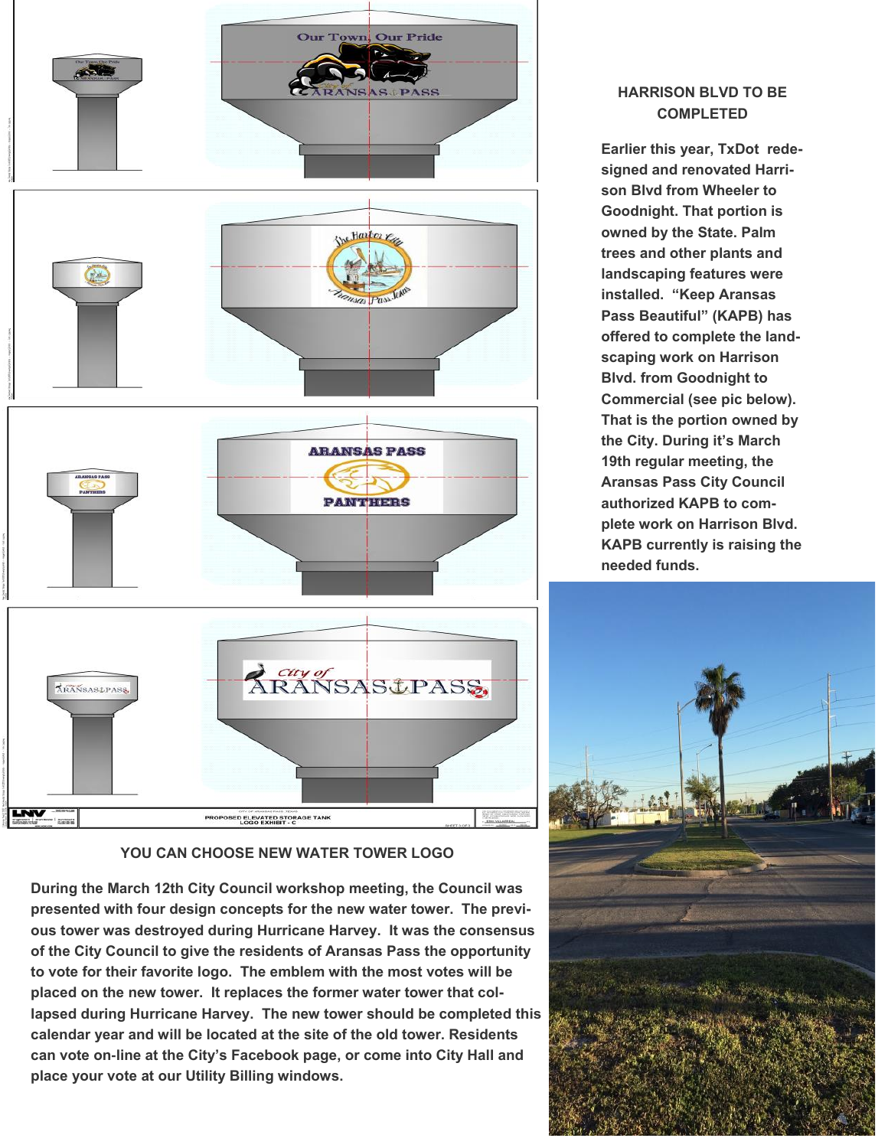

#### **YOU CAN CHOOSE NEW WATER TOWER LOGO**

**During the March 12th City Council workshop meeting, the Council was presented with four design concepts for the new water tower. The previous tower was destroyed during Hurricane Harvey. It was the consensus of the City Council to give the residents of Aransas Pass the opportunity to vote for their favorite logo. The emblem with the most votes will be placed on the new tower. It replaces the former water tower that collapsed during Hurricane Harvey. The new tower should be completed this calendar year and will be located at the site of the old tower. Residents can vote on-line at the City's Facebook page, or come into City Hall and place your vote at our Utility Billing windows.** 

#### **HARRISON BLVD TO BE COMPLETED**

**Earlier this year, TxDot redesigned and renovated Harrison Blvd from Wheeler to Goodnight. That portion is owned by the State. Palm trees and other plants and landscaping features were installed. "Keep Aransas Pass Beautiful" (KAPB) has offered to complete the landscaping work on Harrison Blvd. from Goodnight to Commercial (see pic below). That is the portion owned by the City. During it's March 19th regular meeting, the Aransas Pass City Council authorized KAPB to complete work on Harrison Blvd. KAPB currently is raising the needed funds.** 

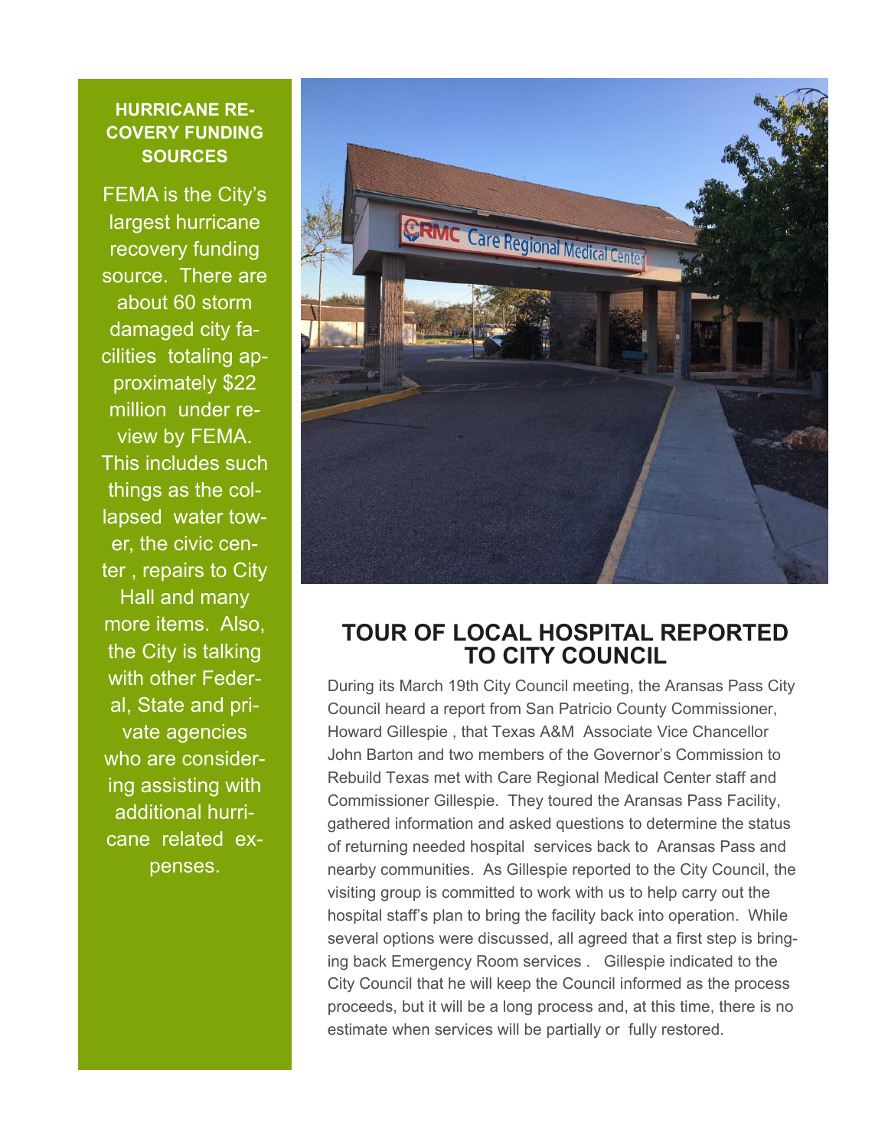#### **HURRICANE RE-COVERY FUNDING SOURCES**

FEMA is the City's largest hurricane recovery funding source. There are about 60 storm damaged city facilities totaling approximately \$22 million under review by FEMA. This includes such things as the collapsed water tower, the civic center , repairs to City Hall and many more items. Also, the City is talking with other Federal, State and private agencies who are considering assisting with additional hurricane related expenses.



### **TOUR OF LOCAL HOSPITAL REPORTED TO CITY COUNCIL**

During its March 19th City Council meeting, the Aransas Pass City Council heard a report from San Patricio County Commissioner, Howard Gillespie , that Texas A&M Associate Vice Chancellor John Barton and two members of the Governor's Commission to Rebuild Texas met with Care Regional Medical Center staff and Commissioner Gillespie. They toured the Aransas Pass Facility, gathered information and asked questions to determine the status of returning needed hospital services back to Aransas Pass and nearby communities. As Gillespie reported to the City Council, the visiting group is committed to work with us to help carry out the hospital staff's plan to bring the facility back into operation. While several options were discussed, all agreed that a first step is bringing back Emergency Room services . Gillespie indicated to the City Council that he will keep the Council informed as the process proceeds, but it will be a long process and, at this time, there is no estimate when services will be partially or fully restored.